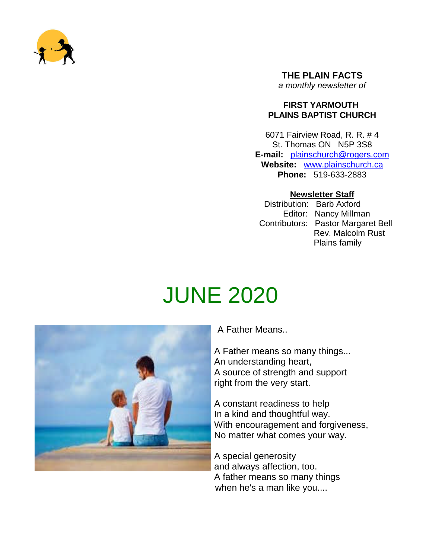

#### **THE PLAIN FACTS** *a monthly newsletter of*

#### **FIRST YARMOUTH PLAINS BAPTIST CHURCH**

6071 Fairview Road, R. R. # 4 St. Thomas ON N5P 3S8 **E-mail:** plainschurch@rogers.com **Website:** www.plainschurch.ca **Phone:** 519-633-2883

#### **Newsletter Staff**

Distribution: Barb Axford Editor: Nancy Millman Contributors: Pastor Margaret Bell Rev. Malcolm Rust Plains family

# JUNE 2020



A Father Means..

A Father means so many things... An understanding heart, A source of strength and support right from the very start.

A constant readiness to help In a kind and thoughtful way. With encouragement and forgiveness, No matter what comes your way.

A special generosity and always affection, too. A father means so many things when he's a man like you....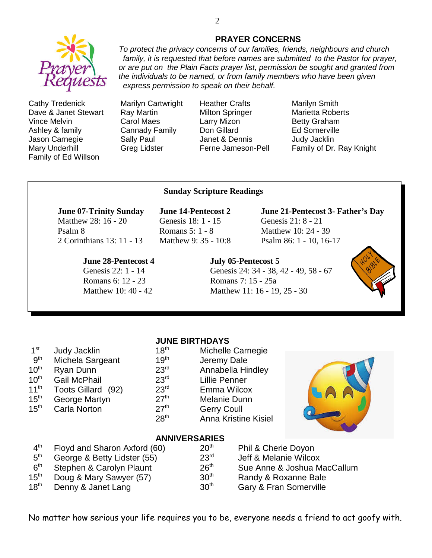

Cathy Tredenick Marilyn Cartwright Heather Crafts Marilyn Smith Dave & Janet Stewart Ray Martin Milton Springer Marietta Roberts Vince Melvin **Carol Maes** Larry Mizon **Betty Graham** Ashley & family Cannady Family Don Gillard Ed Somerville Jason Carnegie Sally Paul Janet & Dennis Judy Jacklin Family of Ed Willson

Mary Underhill **Greg Lidster** Ferne Jameson-Pell Family of Dr. Ray Knight

#### **Sunday Scripture Readings**

## Matthew 28: 16 - 20 Genesis 18: 1 - 15 Genesis 21: 8 - 21

Psalm 8 **Romans 5: 1 - 8** Matthew 10: 24 - 39 2 Corinthians 13: 11 - 13 Matthew 9: 35 - 10:8 Psalm 86: 1 - 10, 16-17

#### **June 28-Pentecost 4 July 05**-**Pentecost 5**

Romans 6: 12 - 23 Romans 7: 15 - 25a

**June 07-Trinity Sunday June 14-Pentecost 2 June 21-Pentecost 3- Father's Day**

Genesis 22: 1 - 14 Genesis 24: 34 - 38, 42 - 49, 58 - 67



 $15<sup>th</sup>$  Carla Norton

### **JUNE BIRTHDAYS**

|     | 1 C J            | <b>IVIIUIEIIE CAILIEUE</b>  |  |  |
|-----|------------------|-----------------------------|--|--|
| ınt | 19 <sup>th</sup> | Jeremy Dale                 |  |  |
|     | 23 <sup>rd</sup> | Annabella Hindley           |  |  |
|     | 23 <sup>rd</sup> | <b>Lillie Penner</b>        |  |  |
| 92) | 23 <sup>rd</sup> | Emma Wilcox                 |  |  |
|     | 27 <sup>th</sup> | Melanie Dunn                |  |  |
|     | 27 <sup>th</sup> | <b>Gerry Coull</b>          |  |  |
|     | 28 <sup>th</sup> | <b>Anna Kristine Kisiel</b> |  |  |
|     |                  |                             |  |  |



#### **ANNIVERSARIES**

- $4<sup>th</sup>$ Floyd and Sharon Axford (60)  $10^{th}$  Phil & Cherie Doyon <br>George & Betty Lidster (55)  $23^{rd}$  Jeff & Melanie Wilco  $5<sup>th</sup>$ George & Betty Lidster (55)  $23<sup>rd</sup>$  Jeff & Melanie Wilcox  $6<sup>th</sup>$ Stephen & Carolyn Plaunt 26<sup>th</sup> Sue Anne & Joshua MacCallum
- 
- 
- $15<sup>th</sup>$  Doug & Mary Sawyer (57)  $30<sup>th</sup>$  Randy & Roxanne Bale 18<sup>th</sup> Denny & Janet Lang 20<sup>th</sup> Gary & Fran Somerville

Matthew 10: 40 - 42 Matthew 11: 16 - 19, 25 - 30

No matter how serious your life requires you to be, everyone needs a friend to act goofy with.

*express permission to speak on their behalf.*

#### **PRAYER CONCERNS** *To protect the privacy concerns of our families, friends, neighbours and church*

*family, it is requested that before names are submitted to the Pastor for prayer, or are put on the Plain Facts prayer list, permission be sought and granted from the individuals to be named, or from family members who have been given*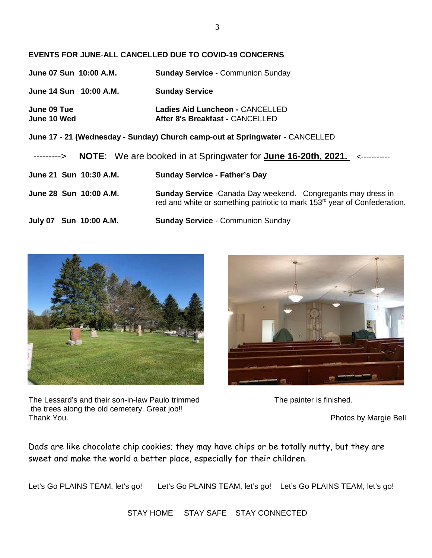#### **EVENTS FOR JUNE**-**ALL CANCELLED DUE TO COVID-19 CONCERNS**

| June 07 Sun 10:00 A.M.                                                       | <b>Sunday Service - Communion Sunday</b>                                                                                                                      |  |  |  |  |  |
|------------------------------------------------------------------------------|---------------------------------------------------------------------------------------------------------------------------------------------------------------|--|--|--|--|--|
| June 14 Sun 10:00 A.M.                                                       | <b>Sunday Service</b>                                                                                                                                         |  |  |  |  |  |
| June 09 Tue<br><b>June 10 Wed</b>                                            | Ladies Aid Luncheon - CANCELLED<br>After 8's Breakfast - CANCELLED                                                                                            |  |  |  |  |  |
| June 17 - 21 (Wednesday - Sunday) Church camp-out at Springwater - CANCELLED |                                                                                                                                                               |  |  |  |  |  |
| --------->                                                                   | NOTE: We are booked in at Springwater for June 16-20th, 2021. <-----------                                                                                    |  |  |  |  |  |
| June 21 Sun 10:30 A.M.                                                       | <b>Sunday Service - Father's Day</b>                                                                                                                          |  |  |  |  |  |
| June 28 Sun 10:00 A.M.                                                       | <b>Sunday Service</b> - Canada Day weekend. Congregants may dress in<br>red and white or something patriotic to mark 153 <sup>rd</sup> year of Confederation. |  |  |  |  |  |
| July 07 Sun 10:00 A.M.                                                       | <b>Sunday Service - Communion Sunday</b>                                                                                                                      |  |  |  |  |  |



The Lessard's and their son-in-law Paulo trimmed The painter is finished. the trees along the old cemetery. Great job!! Thank You. **Photos by Margie Bell** 



Dads are like chocolate chip cookies; they may have chips or be totally nutty, but they are sweet and make the world a better place, especially for their children.

Let's Go PLAINS TEAM, let's go! Let's Go PLAINS TEAM, let's go! Let's Go PLAINS TEAM, let's go!

STAY HOME STAY SAFE STAY CONNECTED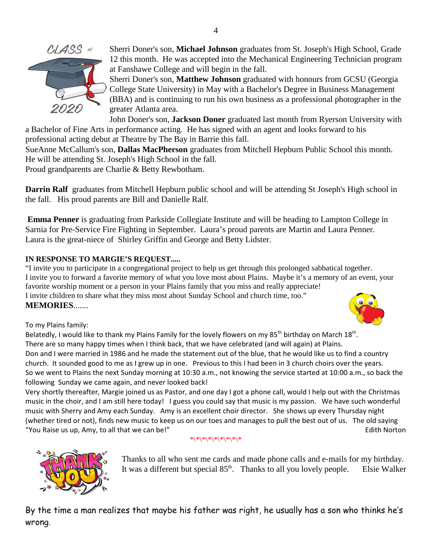

Sherri Doner's son, **Michael Johnson** graduates from St. Joseph's High School, Grade 12 this month. He was accepted into the Mechanical Engineering Technician program at Fanshawe College and will begin in the fall.

Sherri Doner's son, **Matthew Johnson** graduated with honours from GCSU (Georgia College State University) in May with a Bachelor's Degree in Business Management (BBA) and is continuing to run his own business as a professional photographer in the greater Atlanta area.

John Doner's son, **Jackson Doner** graduated last month from Ryerson University with a Bachelor of Fine Arts in performance acting. He has signed with an agent and looks forward to his

professional acting debut at Theatre by The Bay in Barrie this fall.

SueAnne McCallum's son, **Dallas MacPherson** graduates from Mitchell Hepburn Public School this month. He will be attending St. Joseph's High School in the fall.

Proud grandparents are Charlie & Betty Rewbotham.

**Darrin Ralf** graduates from Mitchell Hepburn public school and will be attending St Joseph's High school in the fall. His proud parents are Bill and Danielle Ralf.

**Emma Penner** is graduating from Parkside Collegiate Institute and will be heading to Lampton College in Sarnia for Pre-Service Fire Fighting in September. Laura's proud parents are Martin and Laura Penner. Laura is the great-niece of Shirley Griffin and George and Betty Lidster.

#### **IN RESPONSE TO MARGIE'S REQUEST.....**

"I invite you to participate in a congregational project to help us get through this prolonged sabbatical together. I invite you to forward a favorite memory of what you love most about Plains. Maybe it's a memory of an event, your favorite worship moment or a person in your Plains family that you miss and really appreciate! I invite children to share what they miss most about Sunday School and church time, too." **MEMORIES**.......



To my Plains family:

Belatedly, I would like to thank my Plains Family for the lovely flowers on my 85<sup>th</sup> birthday on March 18<sup>th</sup>. There are so many happy times when I think back, that we have celebrated (and will again) at Plains. Don and I were married in 1986 and he made the statement out of the blue, that he would like us to find a country church. It sounded good to me as I grew up in one. Previous to this I had been in 3 church choirs over the years. So we went to Plains the next Sunday morning at 10:30 a.m., not knowing the service started at 10:00 a.m., so back the following Sunday we came again, and never looked back!

Very shortly thereafter, Margie joined us as Pastor, and one day I got a phone call, would I help out with the Christmas music in the choir, and I am still here today! I guess you could say that music is my passion. We have such wonderful music with Sherry and Amy each Sunday. Amy is an excellent choir director. She shows up every Thursday night (whether tired or not), finds new music to keep us on our toes and manages to pull the best out of us. The old saying "You Raise us up, Amy, to all that we can be!" Same South American control and the Edith Norton Edith Norton

### $*$ \\*\\*\\*\\*\\*\\*\\*\\*



Thanks to all who sent me cards and made phone calls and e-mails for my birthday. It was a different but special  $85<sup>th</sup>$ . Thanks to all you lovely people. Elsie Walker

By the time a man realizes that maybe his father was right, he usually has a son who thinks he's wrong.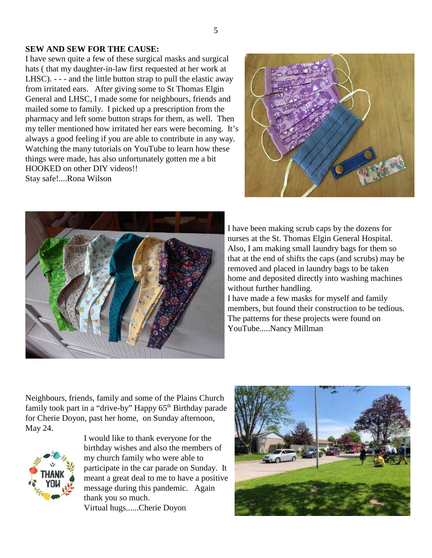#### **SEW AND SEW FOR THE CAUSE:**

I have sewn quite a few of these surgical masks and surgical hats ( that my daughter-in-law first requested at her work at LHSC). - - - and the little button strap to pull the elastic away from irritated ears. After giving some to St Thomas Elgin General and LHSC, I made some for neighbours, friends and mailed some to family. I picked up a prescription from the pharmacy and left some button straps for them, as well. Then my teller mentioned how irritated her ears were becoming. It's always a good feeling if you are able to contribute in any way. Watching the many tutorials on YouTube to learn how these things were made, has also unfortunately gotten me a bit HOOKED on other DIY videos!! Stay safe!....Rona Wilson





I have been making scrub caps by the dozens for nurses at the St. Thomas Elgin General Hospital. Also, I am making small laundry bags for them so that at the end of shifts the caps (and scrubs) may be removed and placed in laundry bags to be taken home and deposited directly into washing machines without further handling.

I have made a few masks for myself and family members, but found their construction to be tedious. The patterns for these projects were found on YouTube.....Nancy Millman

Neighbours, friends, family and some of the Plains Church family took part in a "drive-by" Happy 65<sup>th</sup> Birthday parade for Cherie Doyon, past her home, on Sunday afternoon, May 24.



I would like to thank everyone for the birthday wishes and also the members of my church family who were able to participate in the car parade on Sunday. It meant a great deal to me to have a positive message during this pandemic. Again thank you so much. Virtual hugs......Cherie Doyon

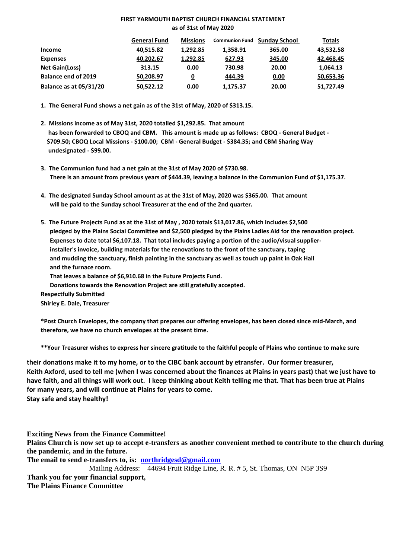#### **FIRST YARMOUTH BAPTIST CHURCH FINANCIAL STATEMENT as of 31st of May 2020**

|                               | <b>General Fund</b> | <b>Missions</b> | <b>Communion Fund</b> | <b>Sunday School</b> | <b>Totals</b> |
|-------------------------------|---------------------|-----------------|-----------------------|----------------------|---------------|
| Income                        | 40,515.82           | 1,292.85        | 1,358.91              | 365.00               | 43,532.58     |
| <b>Expenses</b>               | 40,202.67           | 1,292.85        | 627.93                | 345.00               | 42,468.45     |
| <b>Net Gain(Loss)</b>         | 313.15              | 0.00            | 730.98                | 20.00                | 1,064.13      |
| <b>Balance end of 2019</b>    | 50,208.97           | 0               | 444.39                | 0.00                 | 50,653.36     |
| <b>Balance as at 05/31/20</b> | 50,522.12           | 0.00            | 1,175.37              | 20.00                | 51,727.49     |

**1. The General Fund shows a net gain as of the 31st of May, 2020 of \$313.15.**

- **2. Missions income as of May 31st, 2020 totalled \$1,292.85. That amount has been forwarded to CBOQ and CBM. This amount is made up as follows: CBOQ - General Budget - \$709.50; CBOQ Local Missions - \$100.00; CBM - General Budget - \$384.35; and CBM Sharing Way undesignated - \$99.00.**
- **3. The Communion fund had a net gain at the 31st of May 2020 of \$730.98. There is an amount from previous years of \$444.39, leaving a balance in the Communion Fund of \$1,175.37.**
- **4. The designated Sunday School amount as at the 31st of May, 2020 was \$365.00. That amount will be paid to the Sunday school Treasurer at the end of the 2nd quarter.**
- **5. The Future Projects Fund as at the 31st of May , 2020 totals \$13,017.86, which includes \$2,500 pledged by the Plains Social Committee and \$2,500 pledged by the Plains Ladies Aid for the renovation project. Expenses to date total \$6,107.18. That total includes paying a portion of the audio/visual supplierinstaller's invoice, building materials for the renovations to the front of the sanctuary, taping and mudding the sanctuary, finish painting in the sanctuary as well as touch up paint in Oak Hall and the furnace room.**

**That leaves a balance of \$6,910.68 in the Future Projects Fund.**

**Donations towards the Renovation Project are still gratefully accepted.**

**Respectfully Submitted**

**Shirley E. Dale, Treasurer**

**\*Post Church Envelopes, the company that prepares our offering envelopes, has been closed since mid-March, and therefore, we have no church envelopes at the present time.**

**\*\*Your Treasurer wishes to express her sincere gratitude to the faithful people of Plains who continue to make sure**

**their donations make it to my home, or to the CIBC bank account by etransfer. Our former treasurer, Keith Axford, used to tell me (when I was concerned about the finances at Plains in years past) that we just have to have faith, and all things will work out. I keep thinking about Keith telling me that. That has been true at Plains for many years, and will continue at Plains for years to come. Stay safe and stay healthy!**

**Exciting News from the Finance Committee!**

**Plains Church is now set up to accept e-transfers as another convenient method to contribute to the church during the pandemic, and in the future.**

**The email to send e-transfers to, is: northridgesd@gmail.com**

Mailing Address: 44694 Fruit Ridge Line, R. R. # 5, St. Thomas, ON N5P 3S9 **Thank you for your financial support, The Plains Finance Committee**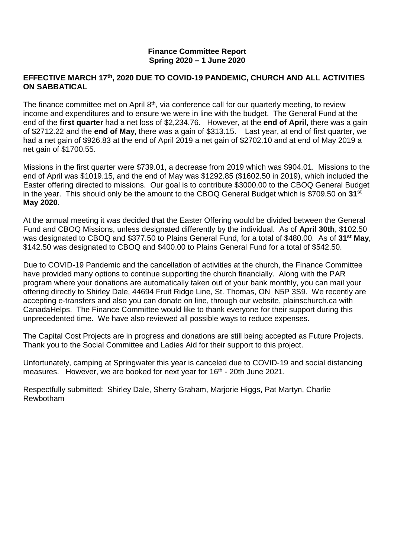#### **Finance Committee Report Spring 2020 – 1 June 2020**

#### **EFFECTIVE MARCH 17th, 2020 DUE TO COVID-19 PANDEMIC, CHURCH AND ALL ACTIVITIES ON SABBATICAL**

The finance committee met on April  $8<sup>th</sup>$ , via conference call for our quarterly meeting, to review income and expenditures and to ensure we were in line with the budget. The General Fund at the end of the **first quarter** had a net loss of \$2,234.76. However, at the **end of April,** there was a gain of \$2712.22 and the **end of May**, there was a gain of \$313.15. Last year, at end of first quarter, we had a net gain of \$926.83 at the end of April 2019 a net gain of \$2702.10 and at end of May 2019 a net gain of \$1700.55.

Missions in the first quarter were \$739.01, a decrease from 2019 which was \$904.01. Missions to the end of April was \$1019.15, and the end of May was \$1292.85 (\$1602.50 in 2019), which included the Easter offering directed to missions. Our goal is to contribute \$3000.00 to the CBOQ General Budget in the year. This should only be the amount to the CBOQ General Budget which is \$709.50 on **31st May 2020**.

At the annual meeting it was decided that the Easter Offering would be divided between the General Fund and CBOQ Missions, unless designated differently by the individual. As of **April 30th**, \$102.50 was designated to CBOQ and \$377.50 to Plains General Fund, for a total of \$480.00. As of **31st May**, \$142.50 was designated to CBOQ and \$400.00 to Plains General Fund for a total of \$542.50.

Due to COVID-19 Pandemic and the cancellation of activities at the church, the Finance Committee have provided many options to continue supporting the church financially. Along with the PAR program where your donations are automatically taken out of your bank monthly, you can mail your offering directly to Shirley Dale, 44694 Fruit Ridge Line, St. Thomas, ON N5P 3S9. We recently are accepting e-transfers and also you can donate on line, through our website, plainschurch.ca with CanadaHelps. The Finance Committee would like to thank everyone for their support during this unprecedented time. We have also reviewed all possible ways to reduce expenses.

The Capital Cost Projects are in progress and donations are still being accepted as Future Projects. Thank you to the Social Committee and Ladies Aid for their support to this project.

Unfortunately, camping at Springwater this year is canceled due to COVID-19 and social distancing measures. However, we are booked for next year for 16<sup>th</sup> - 20th June 2021.

Respectfully submitted: Shirley Dale, Sherry Graham, Marjorie Higgs, Pat Martyn, Charlie Rewbotham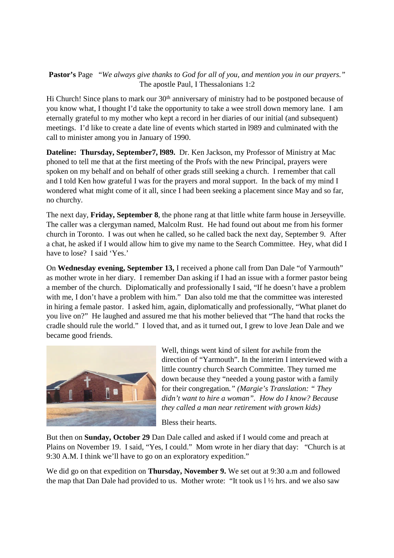**Pastor's** Page "*We always give thanks to God for all of you, and mention you in our prayers."* The apostle Paul, I Thessalonians 1:2

Hi Church! Since plans to mark our  $30<sup>th</sup>$  anniversary of ministry had to be postponed because of you know what, I thought I'd take the opportunity to take a wee stroll down memory lane. I am eternally grateful to my mother who kept a record in her diaries of our initial (and subsequent) meetings. I'd like to create a date line of events which started in l989 and culminated with the call to minister among you in January of 1990.

**Dateline: Thursday, September7, l989.** Dr. Ken Jackson, my Professor of Ministry at Mac phoned to tell me that at the first meeting of the Profs with the new Principal, prayers were spoken on my behalf and on behalf of other grads still seeking a church. I remember that call and I told Ken how grateful I was for the prayers and moral support. In the back of my mind I wondered what might come of it all, since I had been seeking a placement since May and so far, no churchy.

The next day, **Friday, September 8**, the phone rang at that little white farm house in Jerseyville. The caller was a clergyman named, Malcolm Rust. He had found out about me from his former church in Toronto. I was out when he called, so he called back the next day, September 9. After a chat, he asked if I would allow him to give my name to the Search Committee. Hey, what did I have to lose? I said 'Yes.'

On **Wednesday evening, September 13,** I received a phone call from Dan Dale "of Yarmouth" as mother wrote in her diary. I remember Dan asking if I had an issue with a former pastor being a member of the church. Diplomatically and professionally I said, "If he doesn't have a problem with me, I don't have a problem with him." Dan also told me that the committee was interested in hiring a female pastor. I asked him, again, diplomatically and professionally, "What planet do you live on?" He laughed and assured me that his mother believed that "The hand that rocks the cradle should rule the world." I loved that, and as it turned out, I grew to love Jean Dale and we became good friends.



Well, things went kind of silent for awhile from the direction of "Yarmouth". In the interim I interviewed with a little country church Search Committee. They turned me down because they "needed a young pastor with a family for their congregation*." (Margie's Translation: " They didn't want to hire a woman". How do I know? Because they called a man near retirement with grown kids)*

Bless their hearts.

But then on **Sunday, October 29** Dan Dale called and asked if I would come and preach at Plains on November 19. I said, "Yes, I could." Mom wrote in her diary that day: "Church is at 9:30 A.M. I think we'll have to go on an exploratory expedition."

We did go on that expedition on **Thursday, November 9.** We set out at 9:30 a.m and followed the map that Dan Dale had provided to us. Mother wrote: "It took us l ½ hrs. and we also saw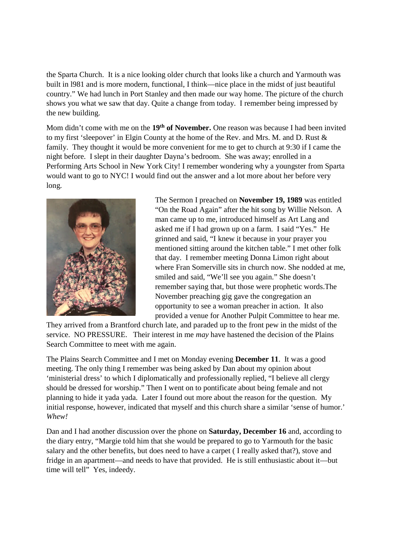the Sparta Church. It is a nice looking older church that looks like a church and Yarmouth was built in l981 and is more modern, functional, I think—nice place in the midst of just beautiful country." We had lunch in Port Stanley and then made our way home. The picture of the church shows you what we saw that day. Quite a change from today. I remember being impressed by the new building.

Mom didn't come with me on the **19th of November.** One reason was because I had been invited to my first 'sleepover' in Elgin County at the home of the Rev. and Mrs. M. and D. Rust & family. They thought it would be more convenient for me to get to church at 9:30 if I came the night before. I slept in their daughter Dayna's bedroom. She was away; enrolled in a Performing Arts School in New York City! I remember wondering why a youngster from Sparta would want to go to NYC! I would find out the answer and a lot more about her before very long.



The Sermon I preached on **November 19, 1989** was entitled "On the Road Again" after the hit song by Willie Nelson. A man came up to me, introduced himself as Art Lang and asked me if I had grown up on a farm. I said "Yes." He grinned and said, "I knew it because in your prayer you mentioned sitting around the kitchen table." I met other folk that day. I remember meeting Donna Limon right about where Fran Somerville sits in church now. She nodded at me, smiled and said, "We'll see you again." She doesn't remember saying that, but those were prophetic words.The November preaching gig gave the congregation an opportunity to see a woman preacher in action. It also provided a venue for Another Pulpit Committee to hear me.

They arrived from a Brantford church late, and paraded up to the front pew in the midst of the service. NO PRESSURE. Their interest in me *may* have hastened the decision of the Plains Search Committee to meet with me again.

The Plains Search Committee and I met on Monday evening **December 11**. It was a good meeting. The only thing I remember was being asked by Dan about my opinion about 'ministerial dress' to which I diplomatically and professionally replied, "I believe all clergy should be dressed for worship." Then I went on to pontificate about being female and not planning to hide it yada yada. Later I found out more about the reason for the question. My initial response, however, indicated that myself and this church share a similar 'sense of humor.' *Whew!*

Dan and I had another discussion over the phone on **Saturday, December 16** and, according to the diary entry, "Margie told him that she would be prepared to go to Yarmouth for the basic salary and the other benefits, but does need to have a carpet ( I really asked that?), stove and fridge in an apartment—and needs to have that provided. He is still enthusiastic about it—but time will tell" Yes, indeedy.